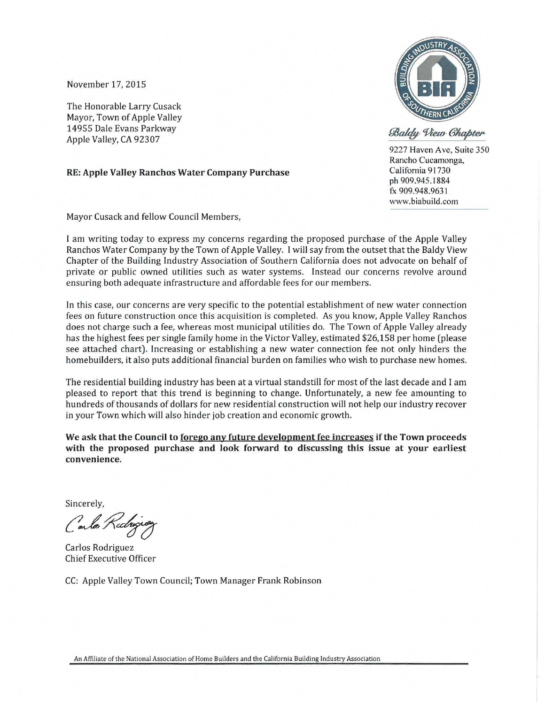November 17, 2015

The Honorable Larry Cusack Mayor, Town of Apple Valley 14955 Dale Evans Parkway Apple Valley, CA 92307

## **RE: Apple Valley Ranchos Water Company Purchase**



Baldy View Chapter

9227 Haven Ave, Suite 350 Rancho Cucamonga, California 91730 ph 909.945.1884 fx 909.948.9631 www.biabuild.com

Mayor Cusack and fellow Council Members,

I am writing today to express my concerns regarding the proposed purchase of the Apple Valley Ranchos Water Company by the Town of Apple Valley. I will say from the outset that the Baldy View Chapter of the Building Industry Association of Southern California does not advocate on behalf of private or public owned utilities such as water systems. Instead our concerns revolve around ensuring both adequate infrastructure and affordable fees for our members.

In this case, our concerns are very specific to the potential establishment of new water connection fees on future construction once this acquisition is completed . As you know, Apple Valley Ranchos does not charge such a fee, whereas most municipal utilities do. The Town of Apple Valley already has the highest fees per single family home in the Victor Valley, estimated \$26,158 per home (please see attached chart). Increasing or establishing a new water connection fee not only hinders the homebuilders, it also puts additional financial burden on families who wish to purchase new homes.

The residential building industry has been at a virtual standstill for most of the last decade and I am pleased to report that this trend is beginning to change. Unfortunately, a new fee amounting to hundreds of thousands of dollars for new residential construction will not help our industry recover in your Town which will also hinder job creation and economic growth.

We ask that the Council to forego any future development fee increases if the Town proceeds **with the proposed purchase and look forward to discussing this issue at your earliest convenience.** 

Sincerely,

Carlos Radigion

Carlos Rodriguez Chief Executive Officer

CC: Apple Valley Town Council; Town Manager Frank Robinson

An Affiliate of the Nation al Association of Home Builders and the California Building Industry Association